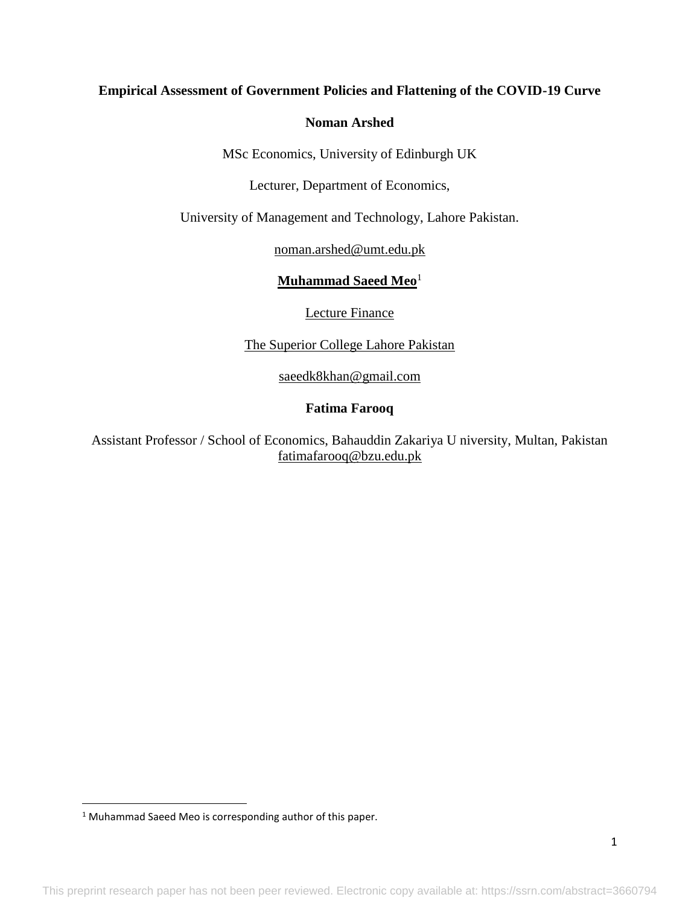## **Empirical Assessment of Government Policies and Flattening of the COVID-19 Curve**

## **Noman Arshed**

MSc Economics, University of Edinburgh UK

Lecturer, Department of Economics,

University of Management and Technology, Lahore Pakistan.

[noman.arshed@umt.edu.pk](mailto:noman.arshed@umt.edu.pk)

**Muhammad Saeed Meo**<sup>1</sup>

Lecture Finance

The Superior College Lahore Pakistan

[saeedk8khan@gmail.com](mailto:saeedk8khan@gmail.com)

# **Fatima Farooq**

Assistant Professor / School of Economics, Bahauddin Zakariya U niversity, Multan, Pakistan [fatimafarooq@bzu.edu.pk](mailto:fatimafarooq@bzu.edu.pk)

 $\overline{\phantom{a}}$ 

<sup>&</sup>lt;sup>1</sup> Muhammad Saeed Meo is corresponding author of this paper.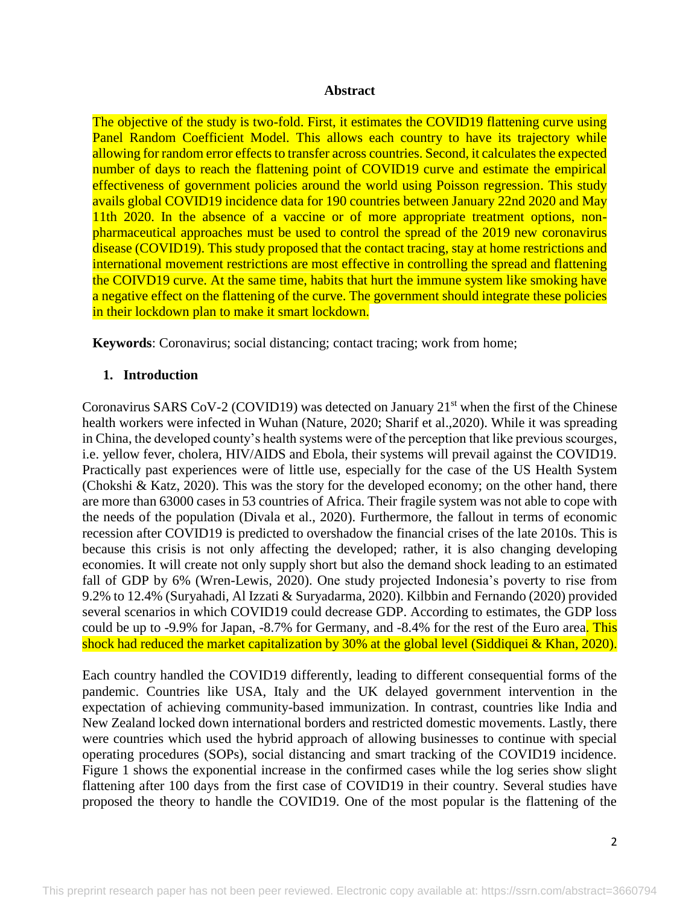### **Abstract**

The objective of the study is two-fold. First, it estimates the COVID19 flattening curve using Panel Random Coefficient Model. This allows each country to have its trajectory while allowing for random error effects to transfer across countries. Second, it calculates the expected number of days to reach the flattening point of COVID19 curve and estimate the empirical effectiveness of government policies around the world using Poisson regression. This study avails global COVID19 incidence data for 190 countries between January 22nd 2020 and May 11th 2020. In the absence of a vaccine or of more appropriate treatment options, nonpharmaceutical approaches must be used to control the spread of the 2019 new coronavirus disease (COVID19). This study proposed that the contact tracing, stay at home restrictions and international movement restrictions are most effective in controlling the spread and flattening the COIVD19 curve. At the same time, habits that hurt the immune system like smoking have a negative effect on the flattening of the curve. The government should integrate these policies in their lockdown plan to make it smart lockdown.

**Keywords**: Coronavirus; social distancing; contact tracing; work from home;

## **1. Introduction**

Coronavirus SARS CoV-2 (COVID19) was detected on January 21<sup>st</sup> when the first of the Chinese health workers were infected in Wuhan (Nature, 2020; Sharif et al.,2020). While it was spreading in China, the developed county's health systems were of the perception that like previous scourges, i.e. yellow fever, cholera, HIV/AIDS and Ebola, their systems will prevail against the COVID19. Practically past experiences were of little use, especially for the case of the US Health System (Chokshi & Katz, 2020). This was the story for the developed economy; on the other hand, there are more than 63000 cases in 53 countries of Africa. Their fragile system was not able to cope with the needs of the population (Divala et al., 2020). Furthermore, the fallout in terms of economic recession after COVID19 is predicted to overshadow the financial crises of the late 2010s. This is because this crisis is not only affecting the developed; rather, it is also changing developing economies. It will create not only supply short but also the demand shock leading to an estimated fall of GDP by 6% (Wren-Lewis, 2020). One study projected Indonesia's poverty to rise from 9.2% to 12.4% (Suryahadi, Al Izzati & Suryadarma, 2020). Kilbbin and Fernando (2020) provided several scenarios in which COVID19 could decrease GDP. According to estimates, the GDP loss could be up to -9.9% for Japan, -8.7% for Germany, and -8.4% for the rest of the Euro area. This shock had reduced the market capitalization by 30% at the global level (Siddiquei & Khan, 2020).

Each country handled the COVID19 differently, leading to different consequential forms of the pandemic. Countries like USA, Italy and the UK delayed government intervention in the expectation of achieving community-based immunization. In contrast, countries like India and New Zealand locked down international borders and restricted domestic movements. Lastly, there were countries which used the hybrid approach of allowing businesses to continue with special operating procedures (SOPs), social distancing and smart tracking of the COVID19 incidence. Figure 1 shows the exponential increase in the confirmed cases while the log series show slight flattening after 100 days from the first case of COVID19 in their country. Several studies have proposed the theory to handle the COVID19. One of the most popular is the flattening of the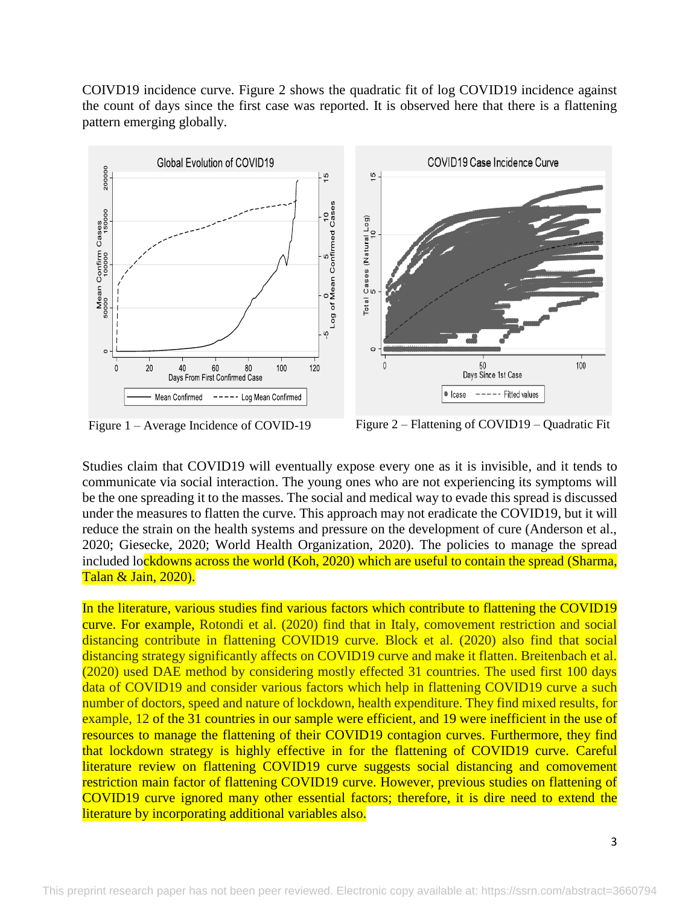COIVD19 incidence curve. Figure 2 shows the quadratic fit of log COVID19 incidence against the count of days since the first case was reported. It is observed here that there is a flattening pattern emerging globally.



Figure 1 – Average Incidence of COVID-19 Figure 2 – Flattening of COVID19 – Quadratic Fit

Studies claim that COVID19 will eventually expose every one as it is invisible, and it tends to communicate via social interaction. The young ones who are not experiencing its symptoms will be the one spreading it to the masses. The social and medical way to evade this spread is discussed under the measures to flatten the curve. This approach may not eradicate the COVID19, but it will reduce the strain on the health systems and pressure on the development of cure (Anderson et al., 2020; Giesecke, 2020; World Health Organization, 2020). The policies to manage the spread included lockdowns across the world (Koh, 2020) which are useful to contain the spread (Sharma, Talan & Jain, 2020).

In the literature, various studies find various factors which contribute to flattening the COVID19 curve. For example, Rotondi et al. (2020) find that in Italy, comovement restriction and social distancing contribute in flattening COVID19 curve. Block et al. (2020) also find that social distancing strategy significantly affects on COVID19 curve and make it flatten. Breitenbach et al. (2020) used DAE method by considering mostly effected 31 countries. The used first 100 days data of COVID19 and consider various factors which help in flattening COVID19 curve a such number of doctors, speed and nature of lockdown, health expenditure. They find mixed results, for example, 12 of the 31 countries in our sample were efficient, and 19 were inefficient in the use of resources to manage the flattening of their COVID19 contagion curves. Furthermore, they find that lockdown strategy is highly effective in for the flattening of COVID19 curve. Careful literature review on flattening COVID19 curve suggests social distancing and comovement restriction main factor of flattening COVID19 curve. However, previous studies on flattening of COVID19 curve ignored many other essential factors; therefore, it is dire need to extend the literature by incorporating additional variables also.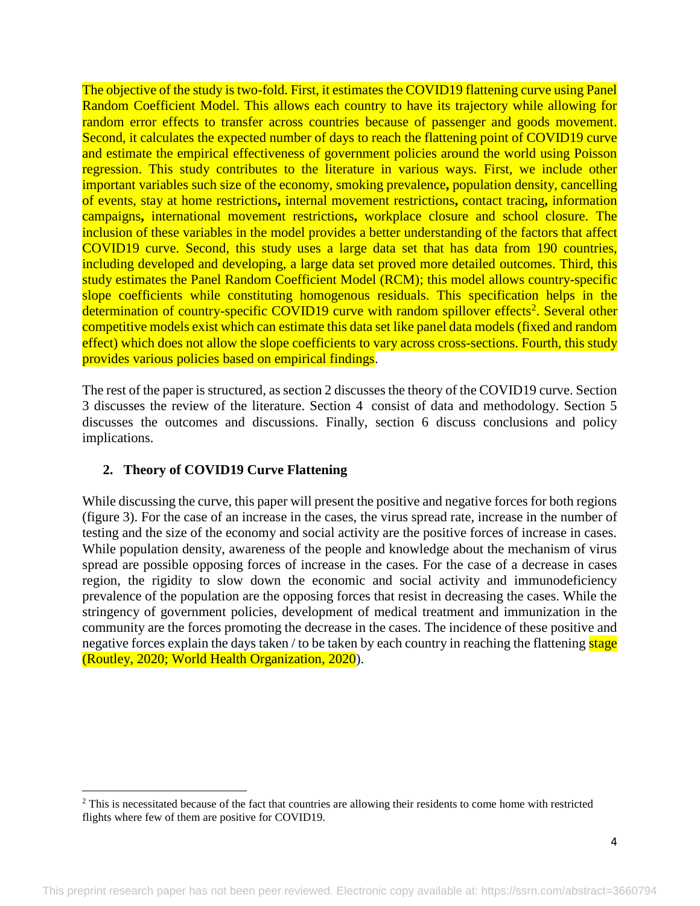The objective of the study is two-fold. First, it estimates the COVID19 flattening curve using Panel Random Coefficient Model. This allows each country to have its trajectory while allowing for random error effects to transfer across countries because of passenger and goods movement. Second, it calculates the expected number of days to reach the flattening point of COVID19 curve and estimate the empirical effectiveness of government policies around the world using Poisson regression. This study contributes to the literature in various ways. First, we include other important variables such size of the economy, smoking prevalence**,** population density, cancelling of events, stay at home restrictions**,** internal movement restrictions**,** contact tracing**,** information campaigns**,** international movement restrictions**,** workplace closure and school closure. The inclusion of these variables in the model provides a better understanding of the factors that affect COVID19 curve. Second, this study uses a large data set that has data from 190 countries, including developed and developing, a large data set proved more detailed outcomes. Third, this study estimates the Panel Random Coefficient Model (RCM); this model allows country-specific slope coefficients while constituting homogenous residuals. This specification helps in the determination of country-specific COVID19 curve with random spillover effects<sup>2</sup>. Several other competitive models exist which can estimate this data set like panel data models (fixed and random effect) which does not allow the slope coefficients to vary across cross-sections. Fourth, this study provides various policies based on empirical findings.

The rest of the paper is structured, as section 2 discusses the theory of the COVID19 curve. Section 3 discusses the review of the literature. Section 4 consist of data and methodology. Section 5 discusses the outcomes and discussions. Finally, section 6 discuss conclusions and policy implications.

## **2. Theory of COVID19 Curve Flattening**

 $\overline{\phantom{a}}$ 

While discussing the curve, this paper will present the positive and negative forces for both regions (figure 3). For the case of an increase in the cases, the virus spread rate, increase in the number of testing and the size of the economy and social activity are the positive forces of increase in cases. While population density, awareness of the people and knowledge about the mechanism of virus spread are possible opposing forces of increase in the cases. For the case of a decrease in cases region, the rigidity to slow down the economic and social activity and immunodeficiency prevalence of the population are the opposing forces that resist in decreasing the cases. While the stringency of government policies, development of medical treatment and immunization in the community are the forces promoting the decrease in the cases. The incidence of these positive and negative forces explain the days taken / to be taken by each country in reaching the flattening stage (Routley, 2020; World Health Organization, 2020).

<sup>&</sup>lt;sup>2</sup> This is necessitated because of the fact that countries are allowing their residents to come home with restricted flights where few of them are positive for COVID19.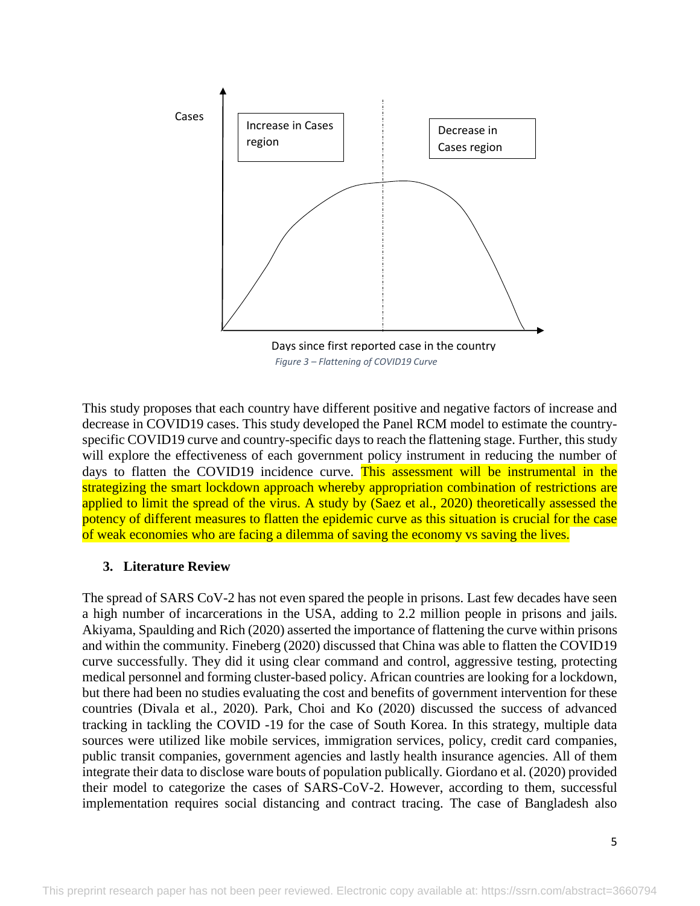

*Figure 3 – Flattening of COVID19 Curve*

This study proposes that each country have different positive and negative factors of increase and decrease in COVID19 cases. This study developed the Panel RCM model to estimate the countryspecific COVID19 curve and country-specific days to reach the flattening stage. Further, this study will explore the effectiveness of each government policy instrument in reducing the number of days to flatten the COVID19 incidence curve. This assessment will be instrumental in the strategizing the smart lockdown approach whereby appropriation combination of restrictions are applied to limit the spread of the virus. A study by (Saez et al., 2020) theoretically assessed the potency of different measures to flatten the epidemic curve as this situation is crucial for the case of weak economies who are facing a dilemma of saving the economy vs saving the lives.

## **3. Literature Review**

The spread of SARS CoV-2 has not even spared the people in prisons. Last few decades have seen a high number of incarcerations in the USA, adding to 2.2 million people in prisons and jails. Akiyama, Spaulding and Rich (2020) asserted the importance of flattening the curve within prisons and within the community. Fineberg (2020) discussed that China was able to flatten the COVID19 curve successfully. They did it using clear command and control, aggressive testing, protecting medical personnel and forming cluster-based policy. African countries are looking for a lockdown, but there had been no studies evaluating the cost and benefits of government intervention for these countries (Divala et al., 2020). Park, Choi and Ko (2020) discussed the success of advanced tracking in tackling the COVID -19 for the case of South Korea. In this strategy, multiple data sources were utilized like mobile services, immigration services, policy, credit card companies, public transit companies, government agencies and lastly health insurance agencies. All of them integrate their data to disclose ware bouts of population publically. Giordano et al. (2020) provided their model to categorize the cases of SARS-CoV-2. However, according to them, successful implementation requires social distancing and contract tracing. The case of Bangladesh also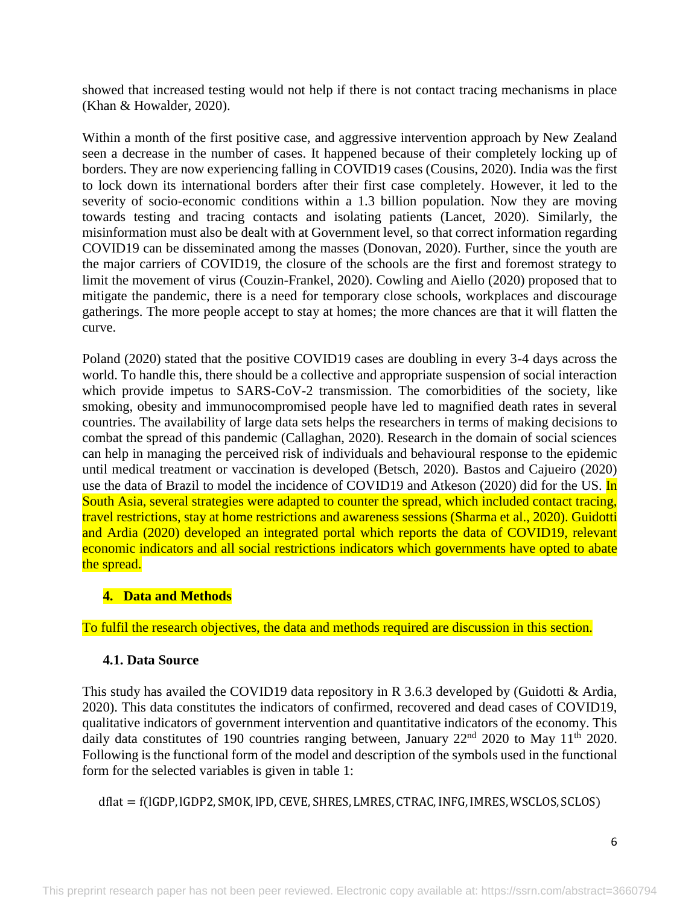showed that increased testing would not help if there is not contact tracing mechanisms in place (Khan & Howalder, 2020).

Within a month of the first positive case, and aggressive intervention approach by New Zealand seen a decrease in the number of cases. It happened because of their completely locking up of borders. They are now experiencing falling in COVID19 cases (Cousins, 2020). India was the first to lock down its international borders after their first case completely. However, it led to the severity of socio-economic conditions within a 1.3 billion population. Now they are moving towards testing and tracing contacts and isolating patients (Lancet, 2020). Similarly, the misinformation must also be dealt with at Government level, so that correct information regarding COVID19 can be disseminated among the masses (Donovan, 2020). Further, since the youth are the major carriers of COVID19, the closure of the schools are the first and foremost strategy to limit the movement of virus (Couzin-Frankel, 2020). Cowling and Aiello (2020) proposed that to mitigate the pandemic, there is a need for temporary close schools, workplaces and discourage gatherings. The more people accept to stay at homes; the more chances are that it will flatten the curve.

Poland (2020) stated that the positive COVID19 cases are doubling in every 3-4 days across the world. To handle this, there should be a collective and appropriate suspension of social interaction which provide impetus to SARS-CoV-2 transmission. The comorbidities of the society, like smoking, obesity and immunocompromised people have led to magnified death rates in several countries. The availability of large data sets helps the researchers in terms of making decisions to combat the spread of this pandemic (Callaghan, 2020). Research in the domain of social sciences can help in managing the perceived risk of individuals and behavioural response to the epidemic until medical treatment or vaccination is developed (Betsch, 2020). Bastos and Cajueiro (2020) use the data of Brazil to model the incidence of COVID19 and Atkeson (2020) did for the US. In South Asia, several strategies were adapted to counter the spread, which included contact tracing, travel restrictions, stay at home restrictions and awareness sessions (Sharma et al., 2020). Guidotti and Ardia (2020) developed an integrated portal which reports the data of COVID19, relevant economic indicators and all social restrictions indicators which governments have opted to abate the spread.

# **4. Data and Methods**

To fulfil the research objectives, the data and methods required are discussion in this section.

## **4.1. Data Source**

This study has availed the COVID19 data repository in R 3.6.3 developed by (Guidotti & Ardia, 2020). This data constitutes the indicators of confirmed, recovered and dead cases of COVID19, qualitative indicators of government intervention and quantitative indicators of the economy. This daily data constitutes of 190 countries ranging between, January  $22<sup>nd</sup>$  2020 to May 11<sup>th</sup> 2020. Following is the functional form of the model and description of the symbols used in the functional form for the selected variables is given in table 1:

dflat = f(lGDP, lGDP2, SMOK, lPD, CEVE, SHRES, LMRES, CTRAC,INFG,IMRES, WSCLOS, SCLOS)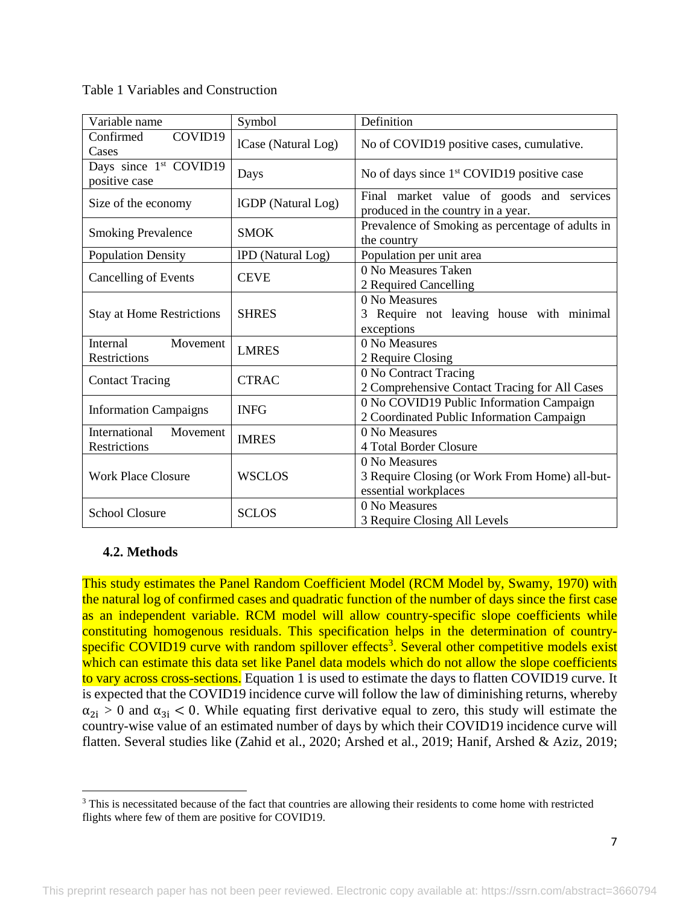| Variable name                                       | Symbol              | Definition                                                                              |
|-----------------------------------------------------|---------------------|-----------------------------------------------------------------------------------------|
| Confirmed<br>COVID19<br>Cases                       | ICase (Natural Log) | No of COVID19 positive cases, cumulative.                                               |
| Days since 1 <sup>st</sup> COVID19<br>positive case | Days                | No of days since $1st$ COVID19 positive case                                            |
| Size of the economy                                 | IGDP (Natural Log)  | Final market value of goods and services<br>produced in the country in a year.          |
| <b>Smoking Prevalence</b>                           | <b>SMOK</b>         | Prevalence of Smoking as percentage of adults in<br>the country                         |
| <b>Population Density</b>                           | IPD (Natural Log)   | Population per unit area                                                                |
| <b>Cancelling of Events</b>                         | <b>CEVE</b>         | 0 No Measures Taken<br>2 Required Cancelling                                            |
| <b>Stay at Home Restrictions</b>                    | <b>SHRES</b>        | 0 No Measures<br>Require not leaving house with minimal<br>exceptions                   |
| Internal<br>Movement<br><b>Restrictions</b>         | <b>LMRES</b>        | 0 No Measures<br>2 Require Closing                                                      |
| <b>Contact Tracing</b>                              | <b>CTRAC</b>        | 0 No Contract Tracing<br>2 Comprehensive Contact Tracing for All Cases                  |
| <b>Information Campaigns</b>                        | <b>INFG</b>         | 0 No COVID19 Public Information Campaign<br>2 Coordinated Public Information Campaign   |
| International<br>Movement<br><b>Restrictions</b>    | <b>IMRES</b>        | 0 No Measures<br>4 Total Border Closure                                                 |
| <b>Work Place Closure</b>                           | <b>WSCLOS</b>       | 0 No Measures<br>3 Require Closing (or Work From Home) all-but-<br>essential workplaces |
| <b>School Closure</b>                               | <b>SCLOS</b>        | 0 No Measures<br>3 Require Closing All Levels                                           |

Table 1 Variables and Construction

## **4.2. Methods**

 $\overline{\phantom{a}}$ 

This study estimates the Panel Random Coefficient Model (RCM Model by, Swamy, 1970) with the natural log of confirmed cases and quadratic function of the number of days since the first case as an independent variable. RCM model will allow country-specific slope coefficients while constituting homogenous residuals. This specification helps in the determination of countryspecific COVID19 curve with random spillover effects<sup>3</sup>. Several other competitive models exist which can estimate this data set like Panel data models which do not allow the slope coefficients to vary across cross-sections. Equation 1 is used to estimate the days to flatten COVID19 curve. It is expected that the COVID19 incidence curve will follow the law of diminishing returns, whereby  $\alpha_{2i} > 0$  and  $\alpha_{3i} < 0$ . While equating first derivative equal to zero, this study will estimate the country-wise value of an estimated number of days by which their COVID19 incidence curve will flatten. Several studies like (Zahid et al., 2020; Arshed et al., 2019; Hanif, Arshed & Aziz, 2019;

<sup>&</sup>lt;sup>3</sup> This is necessitated because of the fact that countries are allowing their residents to come home with restricted flights where few of them are positive for COVID19.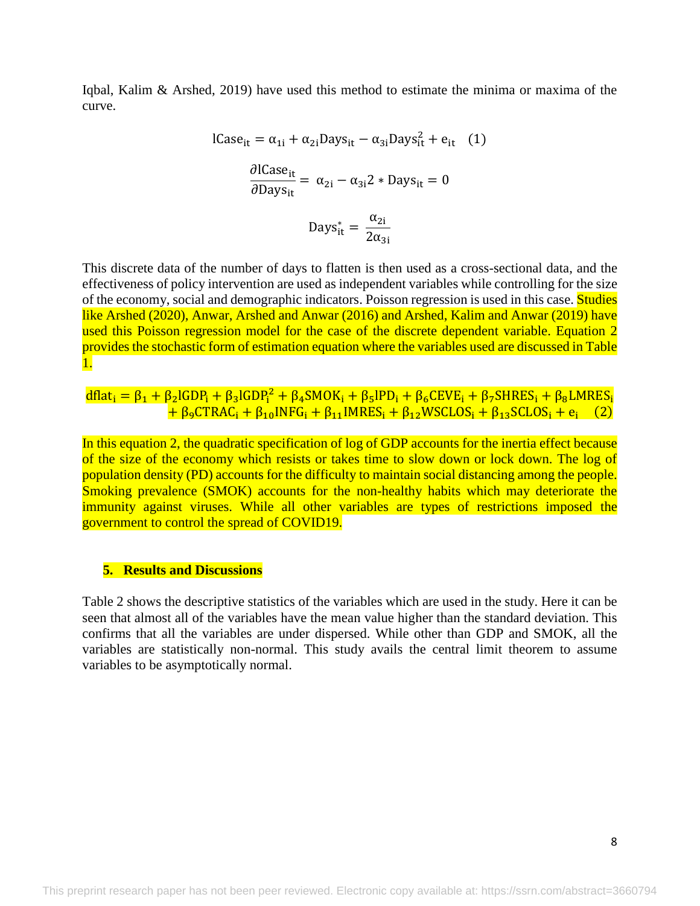Iqbal, Kalim & Arshed, 2019) have used this method to estimate the minima or maxima of the curve.

lCase<sub>it</sub> = 
$$
\alpha_{1i} + \alpha_{2i}
$$
Days<sub>it</sub> -  $\alpha_{3i}$ Days<sub>it</sub><sup>2</sup> + e<sub>it</sub> (1)  
\n
$$
\frac{\partial \text{lCase}_{it}}{\partial \text{Days}_{it}} = \alpha_{2i} - \alpha_{3i}2 * \text{Days}_{it} = 0
$$
\n
$$
\text{Days}_{it}^{*} = \frac{\alpha_{2i}}{2\alpha_{3i}}
$$

This discrete data of the number of days to flatten is then used as a cross-sectional data, and the effectiveness of policy intervention are used as independent variables while controlling for the size of the economy, social and demographic indicators. Poisson regression is used in this case. **Studies** like Arshed (2020), Anwar, Arshed and Anwar (2016) and Arshed, Kalim and Anwar (2019) have used this Poisson regression model for the case of the discrete dependent variable. Equation 2 provides the stochastic form of estimation equation where the variables used are discussed in Table 1.

 $dflat_i = \beta_1 + \beta_2lGDP_i + \beta_3lGDP_i^2 + \beta_4SMOK_i + \beta_5IPD_i + \beta_6CEVE_i + \beta_7SHRES_i + \beta_8LMRES_i$  $+ \beta_9$ CTRAC<sub>i</sub> +  $\beta_{10}$ INFG<sub>i</sub> +  $\beta_{11}$ IMRES<sub>i</sub> +  $\beta_{12}$ WSCLOS<sub>i</sub> +  $\beta_{13}$ SCLOS<sub>i</sub> +  $e_i$  (2)

In this equation 2, the quadratic specification of log of GDP accounts for the inertia effect because of the size of the economy which resists or takes time to slow down or lock down. The log of population density (PD) accounts for the difficulty to maintain social distancing among the people. Smoking prevalence (SMOK) accounts for the non-healthy habits which may deteriorate the immunity against viruses. While all other variables are types of restrictions imposed the government to control the spread of COVID19.

### **5. Results and Discussions**

Table 2 shows the descriptive statistics of the variables which are used in the study. Here it can be seen that almost all of the variables have the mean value higher than the standard deviation. This confirms that all the variables are under dispersed. While other than GDP and SMOK, all the variables are statistically non-normal. This study avails the central limit theorem to assume variables to be asymptotically normal.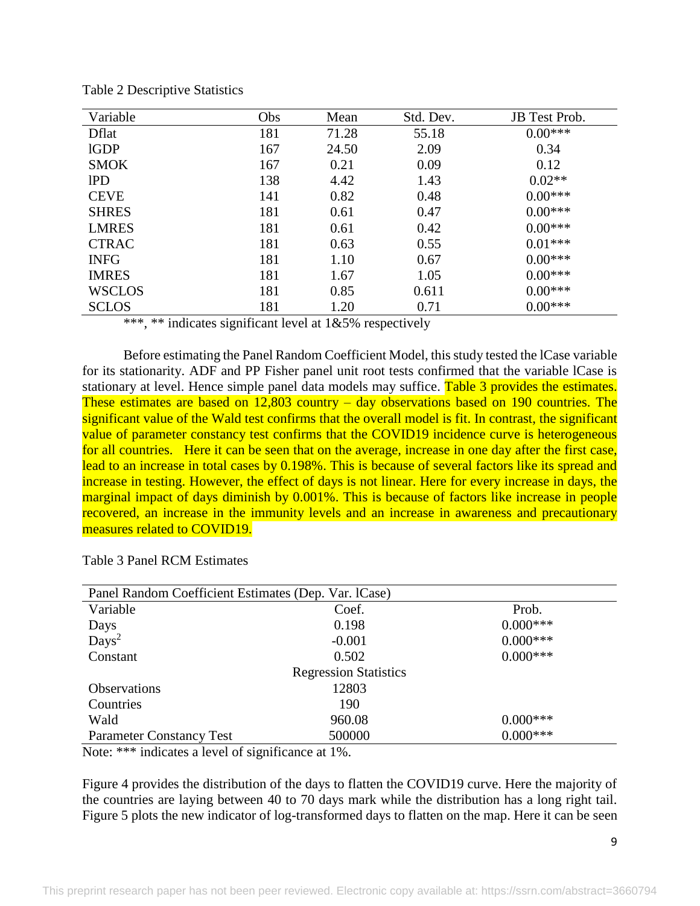| Variable      | Obs | Mean  | Std. Dev. | JB Test Prob. |
|---------------|-----|-------|-----------|---------------|
| <b>D</b> flat | 181 | 71.28 | 55.18     | $0.00***$     |
| <b>IGDP</b>   | 167 | 24.50 | 2.09      | 0.34          |
| <b>SMOK</b>   | 167 | 0.21  | 0.09      | 0.12          |
| <b>IPD</b>    | 138 | 4.42  | 1.43      | $0.02**$      |
| <b>CEVE</b>   | 141 | 0.82  | 0.48      | $0.00***$     |
| <b>SHRES</b>  | 181 | 0.61  | 0.47      | $0.00***$     |
| <b>LMRES</b>  | 181 | 0.61  | 0.42      | $0.00***$     |
| <b>CTRAC</b>  | 181 | 0.63  | 0.55      | $0.01***$     |
| <b>INFG</b>   | 181 | 1.10  | 0.67      | $0.00***$     |
| <b>IMRES</b>  | 181 | 1.67  | 1.05      | $0.00***$     |
| <b>WSCLOS</b> | 181 | 0.85  | 0.611     | $0.00***$     |
| <b>SCLOS</b>  | 181 | 1.20  | 0.71      | $0.00***$     |

Table 2 Descriptive Statistics

\*\*\*, \*\* indicates significant level at  $1&65\%$  respectively

Before estimating the Panel Random Coefficient Model, this study tested the lCase variable for its stationarity. ADF and PP Fisher panel unit root tests confirmed that the variable lCase is stationary at level. Hence simple panel data models may suffice. Table 3 provides the estimates. These estimates are based on 12,803 country – day observations based on 190 countries. The significant value of the Wald test confirms that the overall model is fit. In contrast, the significant value of parameter constancy test confirms that the COVID19 incidence curve is heterogeneous for all countries. Here it can be seen that on the average, increase in one day after the first case, lead to an increase in total cases by 0.198%. This is because of several factors like its spread and increase in testing. However, the effect of days is not linear. Here for every increase in days, the marginal impact of days diminish by 0.001%. This is because of factors like increase in people recovered, an increase in the immunity levels and an increase in awareness and precautionary measures related to COVID19.

| Panel Random Coefficient Estimates (Dep. Var. lCase) |          |             |  |  |
|------------------------------------------------------|----------|-------------|--|--|
| Variable                                             | Coef.    | Prob.       |  |  |
| Days                                                 | 0.198    | $0.000***$  |  |  |
| $\text{Days}^2$                                      | $-0.001$ | $0.000$ *** |  |  |
| Constant                                             | 0.502    | $0.000***$  |  |  |
| <b>Regression Statistics</b>                         |          |             |  |  |
| <b>Observations</b>                                  | 12803    |             |  |  |
| Countries                                            | 190      |             |  |  |
| Wald                                                 | 960.08   | $0.000***$  |  |  |
| <b>Parameter Constancy Test</b>                      | 500000   | $0.000***$  |  |  |

Table 3 Panel RCM Estimates

Note: \*\*\* indicates a level of significance at 1%.

Figure 4 provides the distribution of the days to flatten the COVID19 curve. Here the majority of the countries are laying between 40 to 70 days mark while the distribution has a long right tail. Figure 5 plots the new indicator of log-transformed days to flatten on the map. Here it can be seen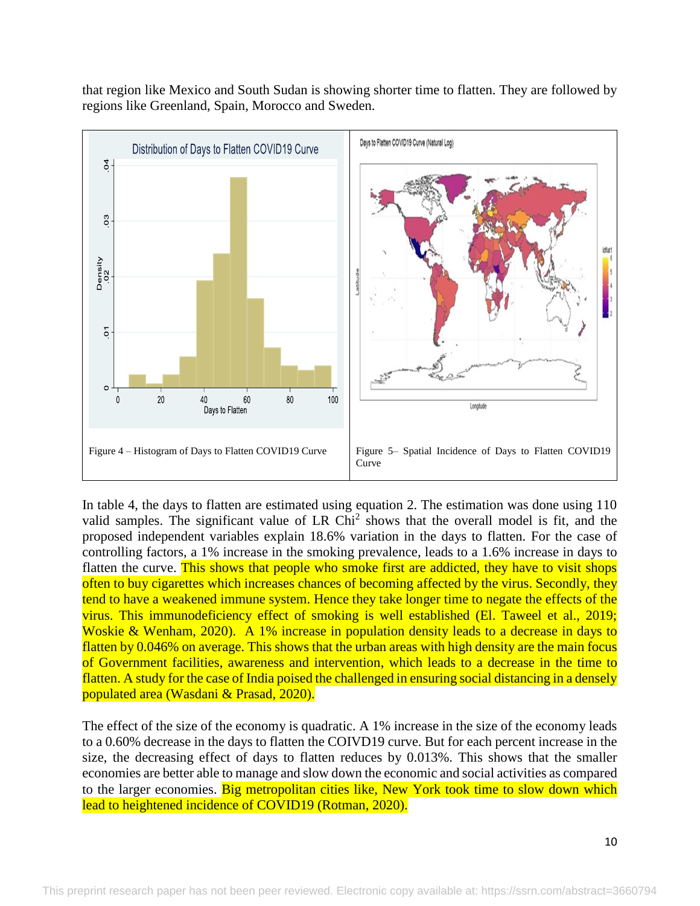that region like Mexico and South Sudan is showing shorter time to flatten. They are followed by regions like Greenland, Spain, Morocco and Sweden.



In table 4, the days to flatten are estimated using equation 2. The estimation was done using 110 valid samples. The significant value of LR  $Chi<sup>2</sup>$  shows that the overall model is fit, and the proposed independent variables explain 18.6% variation in the days to flatten. For the case of controlling factors, a 1% increase in the smoking prevalence, leads to a 1.6% increase in days to flatten the curve. This shows that people who smoke first are addicted, they have to visit shops often to buy cigarettes which increases chances of becoming affected by the virus. Secondly, they tend to have a weakened immune system. Hence they take longer time to negate the effects of the virus. This immunodeficiency effect of smoking is well established (El. Taweel et al., 2019; Woskie & Wenham, 2020). A 1% increase in population density leads to a decrease in days to flatten by 0.046% on average. This shows that the urban areas with high density are the main focus of Government facilities, awareness and intervention, which leads to a decrease in the time to flatten. A study for the case of India poised the challenged in ensuring social distancing in a densely populated area (Wasdani & Prasad, 2020).

The effect of the size of the economy is quadratic. A 1% increase in the size of the economy leads to a 0.60% decrease in the days to flatten the COIVD19 curve. But for each percent increase in the size, the decreasing effect of days to flatten reduces by 0.013%. This shows that the smaller economies are better able to manage and slow down the economic and social activities as compared to the larger economies. Big metropolitan cities like, New York took time to slow down which lead to heightened incidence of COVID19 (Rotman, 2020).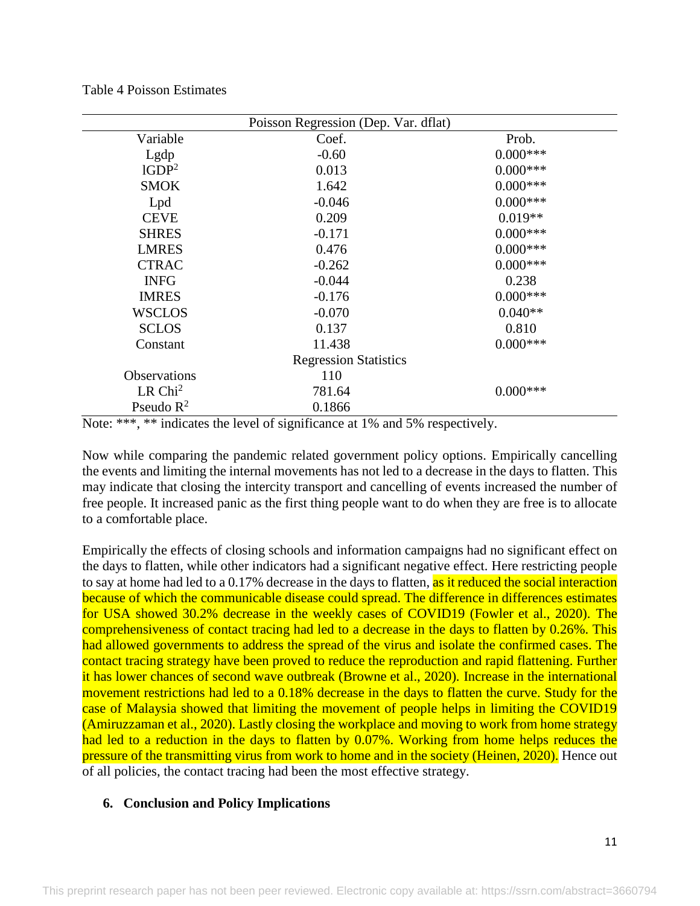|                              | Poisson Regression (Dep. Var. dflat) |             |  |  |
|------------------------------|--------------------------------------|-------------|--|--|
| Variable                     | Coef.                                | Prob.       |  |  |
| Lgdp                         | $-0.60$                              | $0.000$ *** |  |  |
| 1GDP <sup>2</sup>            | 0.013                                | $0.000***$  |  |  |
| <b>SMOK</b>                  | 1.642                                | $0.000***$  |  |  |
| Lpd                          | $-0.046$                             | $0.000***$  |  |  |
| <b>CEVE</b>                  | 0.209                                | $0.019**$   |  |  |
| <b>SHRES</b>                 | $-0.171$                             | $0.000***$  |  |  |
| <b>LMRES</b>                 | 0.476                                | $0.000$ *** |  |  |
| <b>CTRAC</b>                 | $-0.262$                             | $0.000$ *** |  |  |
| <b>INFG</b>                  | $-0.044$                             | 0.238       |  |  |
| <b>IMRES</b>                 | $-0.176$                             | $0.000$ *** |  |  |
| <b>WSCLOS</b>                | $-0.070$                             | $0.040**$   |  |  |
| <b>SCLOS</b>                 | 0.137                                | 0.810       |  |  |
| Constant                     | 11.438                               | $0.000***$  |  |  |
| <b>Regression Statistics</b> |                                      |             |  |  |
| <b>Observations</b>          | 110                                  |             |  |  |
| LR Chi <sup>2</sup>          | 781.64                               | $0.000***$  |  |  |
| Pseudo $R^2$                 | 0.1866                               |             |  |  |

Table 4 Poisson Estimates

Now while comparing the pandemic related government policy options. Empirically cancelling the events and limiting the internal movements has not led to a decrease in the days to flatten. This may indicate that closing the intercity transport and cancelling of events increased the number of free people. It increased panic as the first thing people want to do when they are free is to allocate to a comfortable place.

Empirically the effects of closing schools and information campaigns had no significant effect on the days to flatten, while other indicators had a significant negative effect. Here restricting people to say at home had led to a 0.17% decrease in the days to flatten, as it reduced the social interaction because of which the communicable disease could spread. The difference in differences estimates for USA showed 30.2% decrease in the weekly cases of COVID19 (Fowler et al., 2020). The comprehensiveness of contact tracing had led to a decrease in the days to flatten by 0.26%. This had allowed governments to address the spread of the virus and isolate the confirmed cases. The contact tracing strategy have been proved to reduce the reproduction and rapid flattening. Further it has lower chances of second wave outbreak (Browne et al., 2020). Increase in the international movement restrictions had led to a 0.18% decrease in the days to flatten the curve. Study for the case of Malaysia showed that limiting the movement of people helps in limiting the COVID19 (Amiruzzaman et al., 2020). Lastly closing the workplace and moving to work from home strategy had led to a reduction in the days to flatten by 0.07%. Working from home helps reduces the pressure of the transmitting virus from work to home and in the society (Heinen, 2020). Hence out of all policies, the contact tracing had been the most effective strategy.

## **6. Conclusion and Policy Implications**

Note: \*\*\*, \*\* indicates the level of significance at 1% and 5% respectively.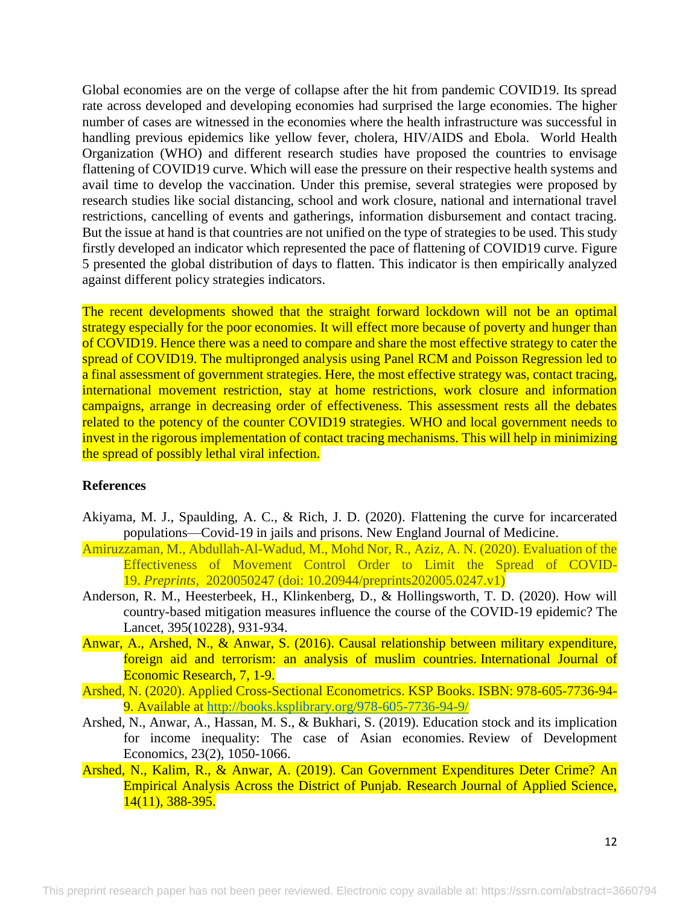Global economies are on the verge of collapse after the hit from pandemic COVID19. Its spread rate across developed and developing economies had surprised the large economies. The higher number of cases are witnessed in the economies where the health infrastructure was successful in handling previous epidemics like yellow fever, cholera, HIV/AIDS and Ebola. World Health Organization (WHO) and different research studies have proposed the countries to envisage flattening of COVID19 curve. Which will ease the pressure on their respective health systems and avail time to develop the vaccination. Under this premise, several strategies were proposed by research studies like social distancing, school and work closure, national and international travel restrictions, cancelling of events and gatherings, information disbursement and contact tracing. But the issue at hand is that countries are not unified on the type of strategies to be used. This study firstly developed an indicator which represented the pace of flattening of COVID19 curve. Figure 5 presented the global distribution of days to flatten. This indicator is then empirically analyzed against different policy strategies indicators.

The recent developments showed that the straight forward lockdown will not be an optimal strategy especially for the poor economies. It will effect more because of poverty and hunger than of COVID19. Hence there was a need to compare and share the most effective strategy to cater the spread of COVID19. The multipronged analysis using Panel RCM and Poisson Regression led to a final assessment of government strategies. Here, the most effective strategy was, contact tracing, international movement restriction, stay at home restrictions, work closure and information campaigns, arrange in decreasing order of effectiveness. This assessment rests all the debates related to the potency of the counter COVID19 strategies. WHO and local government needs to invest in the rigorous implementation of contact tracing mechanisms. This will help in minimizing the spread of possibly lethal viral infection.

### **References**

- Akiyama, M. J., Spaulding, A. C., & Rich, J. D. (2020). Flattening the curve for incarcerated populations—Covid-19 in jails and prisons. New England Journal of Medicine.
- Amiruzzaman, M., Abdullah-Al-Wadud, M., Mohd Nor, R., Aziz, A. N. (2020). Evaluation of the Effectiveness of Movement Control Order to Limit the Spread of COVID-19. *Preprints,* 2020050247 (doi: 10.20944/preprints202005.0247.v1)
- Anderson, R. M., Heesterbeek, H., Klinkenberg, D., & Hollingsworth, T. D. (2020). How will country-based mitigation measures influence the course of the COVID-19 epidemic? The Lancet, 395(10228), 931-934.
- Anwar, A., Arshed, N., & Anwar, S. (2016). Causal relationship between military expenditure, foreign aid and terrorism: an analysis of muslim countries. International Journal of Economic Research, 7, 1-9.
- Arshed, N. (2020). Applied Cross-Sectional Econometrics. KSP Books. ISBN: 978-605-7736-94- 9. Available at<http://books.ksplibrary.org/978-605-7736-94-9/>
- Arshed, N., Anwar, A., Hassan, M. S., & Bukhari, S. (2019). Education stock and its implication for income inequality: The case of Asian economies. Review of Development Economics, 23(2), 1050-1066.
- Arshed, N., Kalim, R., & Anwar, A. (2019). Can Government Expenditures Deter Crime? An Empirical Analysis Across the District of Punjab. Research Journal of Applied Science, 14(11), 388-395.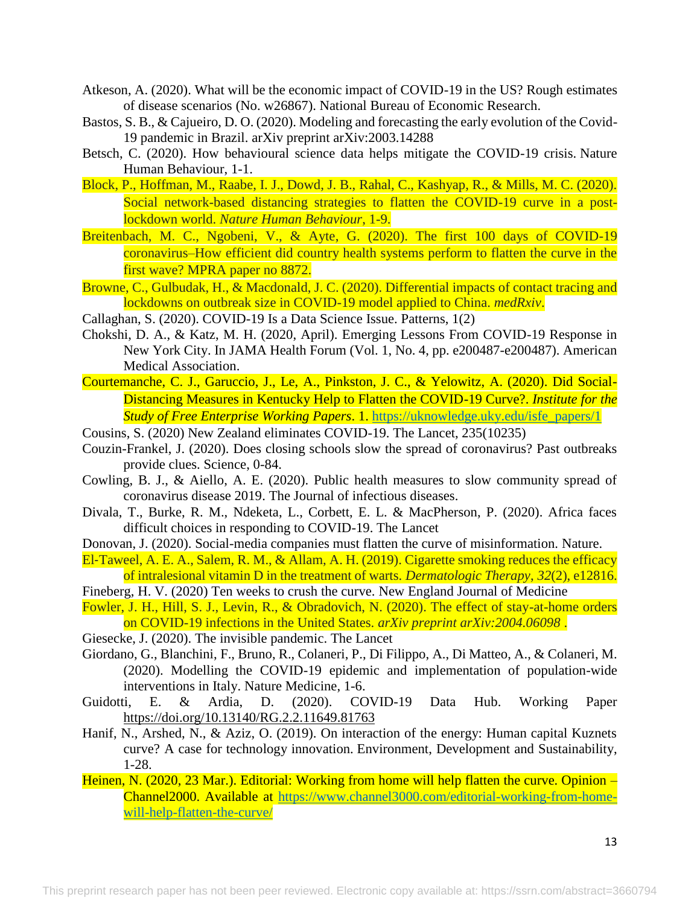- Atkeson, A. (2020). What will be the economic impact of COVID-19 in the US? Rough estimates of disease scenarios (No. w26867). National Bureau of Economic Research.
- Bastos, S. B., & Cajueiro, D. O. (2020). Modeling and forecasting the early evolution of the Covid-19 pandemic in Brazil. arXiv preprint arXiv:2003.14288
- Betsch, C. (2020). How behavioural science data helps mitigate the COVID-19 crisis. Nature Human Behaviour, 1-1.
- Block, P., Hoffman, M., Raabe, I. J., Dowd, J. B., Rahal, C., Kashyap, R., & Mills, M. C. (2020). Social network-based distancing strategies to flatten the COVID-19 curve in a postlockdown world. *Nature Human Behaviour*, 1-9.
- Breitenbach, M. C., Ngobeni, V., & Ayte, G. (2020). The first 100 days of COVID-19 coronavirus–How efficient did country health systems perform to flatten the curve in the first wave? MPRA paper no 8872.
- Browne, C., Gulbudak, H., & Macdonald, J. C. (2020). Differential impacts of contact tracing and lockdowns on outbreak size in COVID-19 model applied to China. *medRxiv*.
- Callaghan, S. (2020). COVID-19 Is a Data Science Issue. Patterns, 1(2)
- Chokshi, D. A., & Katz, M. H. (2020, April). Emerging Lessons From COVID-19 Response in New York City. In JAMA Health Forum (Vol. 1, No. 4, pp. e200487-e200487). American Medical Association.
- Courtemanche, C. J., Garuccio, J., Le, A., Pinkston, J. C., & Yelowitz, A. (2020). Did Social-Distancing Measures in Kentucky Help to Flatten the COVID-19 Curve?. *Institute for the Study of Free Enterprise Working Papers*. 1. [https://uknowledge.uky.edu/isfe\\_papers/1](https://uknowledge.uky.edu/isfe_papers/1)
- Cousins, S. (2020) New Zealand eliminates COVID-19. The Lancet, 235(10235)
- Couzin-Frankel, J. (2020). Does closing schools slow the spread of coronavirus? Past outbreaks provide clues. Science, 0-84.
- Cowling, B. J., & Aiello, A. E. (2020). Public health measures to slow community spread of coronavirus disease 2019. The Journal of infectious diseases.
- Divala, T., Burke, R. M., Ndeketa, L., Corbett, E. L. & MacPherson, P. (2020). Africa faces difficult choices in responding to COVID-19. The Lancet
- Donovan, J. (2020). Social-media companies must flatten the curve of misinformation. Nature.
- El-Taweel, A. E. A., Salem, R. M., & Allam, A. H. (2019). Cigarette smoking reduces the efficacy of intralesional vitamin D in the treatment of warts. *Dermatologic Therapy*, *32*(2), e12816.
- Fineberg, H. V. (2020) Ten weeks to crush the curve. New England Journal of Medicine
- Fowler, J. H., Hill, S. J., Levin, R., & Obradovich, N. (2020). The effect of stay-at-home orders on COVID-19 infections in the United States. *arXiv preprint arXiv:2004.06098* .
- Giesecke, J. (2020). The invisible pandemic. The Lancet
- Giordano, G., Blanchini, F., Bruno, R., Colaneri, P., Di Filippo, A., Di Matteo, A., & Colaneri, M. (2020). Modelling the COVID-19 epidemic and implementation of population-wide interventions in Italy. Nature Medicine, 1-6.
- Guidotti, E. & Ardia, D. (2020). COVID-19 Data Hub. Working Paper <https://doi.org/10.13140/RG.2.2.11649.81763>
- Hanif, N., Arshed, N., & Aziz, O. (2019). On interaction of the energy: Human capital Kuznets curve? A case for technology innovation. Environment, Development and Sustainability, 1-28.
- Heinen, N. (2020, 23 Mar.). Editorial: Working from home will help flatten the curve. Opinion Channel2000. Available at [https://www.channel3000.com/editorial-working-from-home](https://www.channel3000.com/editorial-working-from-home-will-help-flatten-the-curve/)[will-help-flatten-the-curve/](https://www.channel3000.com/editorial-working-from-home-will-help-flatten-the-curve/)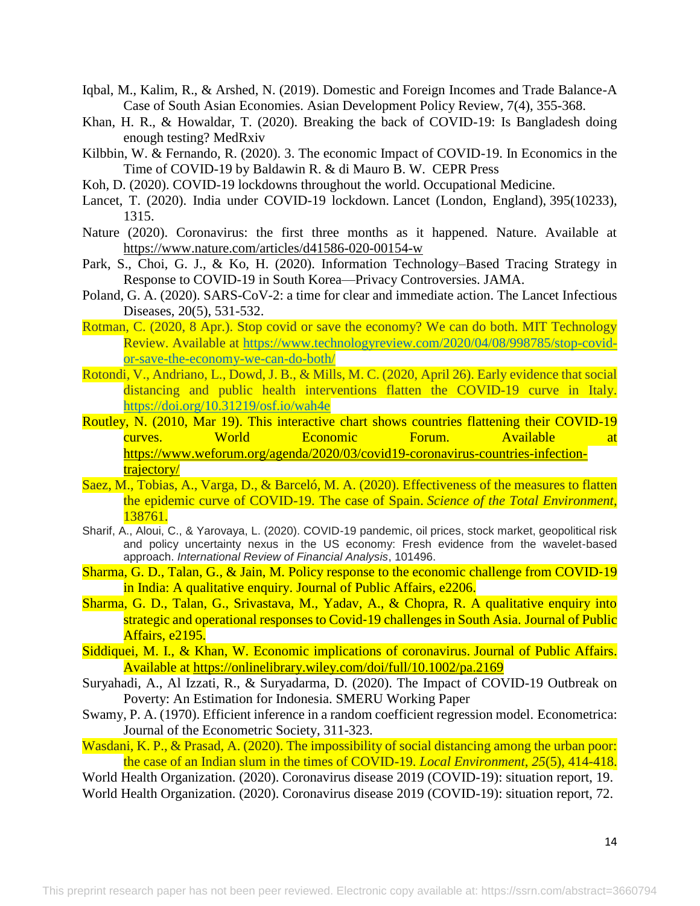- Iqbal, M., Kalim, R., & Arshed, N. (2019). Domestic and Foreign Incomes and Trade Balance-A Case of South Asian Economies. Asian Development Policy Review, 7(4), 355-368.
- Khan, H. R., & Howaldar, T. (2020). Breaking the back of COVID-19: Is Bangladesh doing enough testing? MedRxiv
- Kilbbin, W. & Fernando, R. (2020). 3. The economic Impact of COVID-19. In Economics in the Time of COVID-19 by Baldawin R. & di Mauro B. W. CEPR Press
- Koh, D. (2020). COVID-19 lockdowns throughout the world. Occupational Medicine.
- Lancet, T. (2020). India under COVID-19 lockdown. Lancet (London, England), 395(10233), 1315.
- Nature (2020). Coronavirus: the first three months as it happened. Nature. Available at <https://www.nature.com/articles/d41586-020-00154-w>
- Park, S., Choi, G. J., & Ko, H. (2020). Information Technology–Based Tracing Strategy in Response to COVID-19 in South Korea—Privacy Controversies. JAMA.
- Poland, G. A. (2020). SARS-CoV-2: a time for clear and immediate action. The Lancet Infectious Diseases, 20(5), 531-532.
- Rotman, C. (2020, 8 Apr.). Stop covid or save the economy? We can do both. MIT Technology Review. Available at [https://www.technologyreview.com/2020/04/08/998785/stop-covid](https://www.technologyreview.com/2020/04/08/998785/stop-covid-or-save-the-economy-we-can-do-both/)[or-save-the-economy-we-can-do-both/](https://www.technologyreview.com/2020/04/08/998785/stop-covid-or-save-the-economy-we-can-do-both/)
- Rotondi, V., Andriano, L., Dowd, J. B., & Mills, M. C. (2020, April 26). Early evidence that social distancing and public health interventions flatten the COVID-19 curve in Italy. <https://doi.org/10.31219/osf.io/wah4e>
- Routley, N. (2010, Mar 19). This interactive chart shows countries flattening their COVID-19 curves. World Economic Forum. Available at [https://www.weforum.org/agenda/2020/03/covid19-coronavirus-countries-infection](https://www.weforum.org/agenda/2020/03/covid19-coronavirus-countries-infection-trajectory/)[trajectory/](https://www.weforum.org/agenda/2020/03/covid19-coronavirus-countries-infection-trajectory/)
- Saez, M., Tobias, A., Varga, D., & Barceló, M. A. (2020). Effectiveness of the measures to flatten the epidemic curve of COVID-19. The case of Spain. *Science of the Total Environment*, 138761.
- Sharif, A., Aloui, C., & Yarovaya, L. (2020). COVID-19 pandemic, oil prices, stock market, geopolitical risk and policy uncertainty nexus in the US economy: Fresh evidence from the wavelet-based approach. *International Review of Financial Analysis*, 101496.
- Sharma, G. D., Talan, G., & Jain, M. Policy response to the economic challenge from COVID-19 in India: A qualitative enquiry. Journal of Public Affairs, e2206.
- Sharma, G. D., Talan, G., Srivastava, M., Yadav, A., & Chopra, R. A qualitative enquiry into strategic and operational responses to Covid-19 challenges in South Asia. Journal of Public Affairs, e2195.
- Siddiquei, M. I., & Khan, W. Economic implications of coronavirus. Journal of Public Affairs. Available at<https://onlinelibrary.wiley.com/doi/full/10.1002/pa.2169>
- Suryahadi, A., Al Izzati, R., & Suryadarma, D. (2020). The Impact of COVID-19 Outbreak on Poverty: An Estimation for Indonesia. SMERU Working Paper
- Swamy, P. A. (1970). Efficient inference in a random coefficient regression model. Econometrica: Journal of the Econometric Society, 311-323.
- Wasdani, K. P., & Prasad, A. (2020). The impossibility of social distancing among the urban poor: the case of an Indian slum in the times of COVID-19. *Local Environment*, *25*(5), 414-418.
- World Health Organization. (2020). Coronavirus disease 2019 (COVID-19): situation report, 19. World Health Organization. (2020). Coronavirus disease 2019 (COVID-19): situation report, 72.